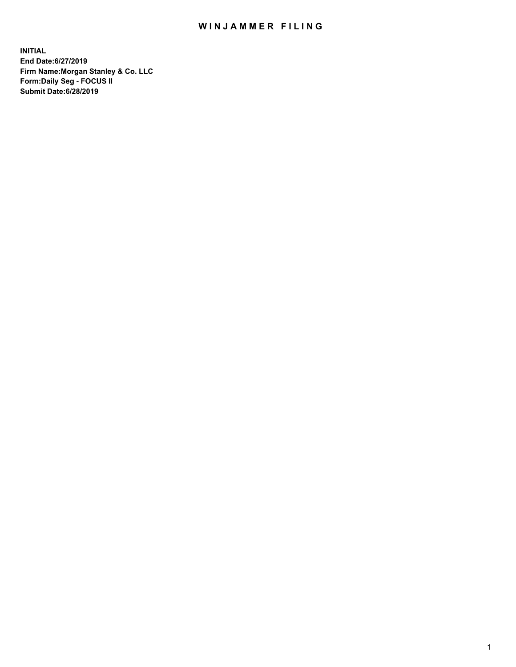## WIN JAMMER FILING

**INITIAL End Date:6/27/2019 Firm Name:Morgan Stanley & Co. LLC Form:Daily Seg - FOCUS II Submit Date:6/28/2019**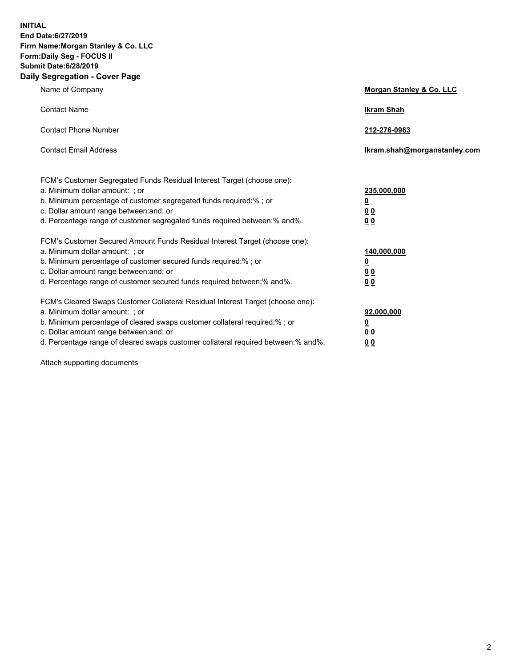**INITIAL End Date:6/27/2019 Firm Name:Morgan Stanley & Co. LLC Form:Daily Seg - FOCUS II Submit Date:6/28/2019 Daily Segregation - Cover Page**

| Name of Company                                                                   | Morgan Stanley & Co. LLC     |
|-----------------------------------------------------------------------------------|------------------------------|
| <b>Contact Name</b>                                                               | <b>Ikram Shah</b>            |
| <b>Contact Phone Number</b>                                                       | 212-276-0963                 |
| <b>Contact Email Address</b>                                                      | Ikram.shah@morganstanley.com |
| FCM's Customer Segregated Funds Residual Interest Target (choose one):            |                              |
| a. Minimum dollar amount: ; or                                                    | 235,000,000                  |
| b. Minimum percentage of customer segregated funds required:% ; or                | <u>0</u>                     |
| c. Dollar amount range between: and; or                                           | <u>0 0</u>                   |
| d. Percentage range of customer segregated funds required between: % and %.       | 00                           |
| FCM's Customer Secured Amount Funds Residual Interest Target (choose one):        |                              |
| a. Minimum dollar amount: ; or                                                    | 140,000,000                  |
| b. Minimum percentage of customer secured funds required:%; or                    | <u>0</u>                     |
| c. Dollar amount range between: and; or                                           | 0 <sub>0</sub>               |
| d. Percentage range of customer secured funds required between:% and%.            | 0 <sub>0</sub>               |
| FCM's Cleared Swaps Customer Collateral Residual Interest Target (choose one):    |                              |
| a. Minimum dollar amount: ; or                                                    | 92,000,000                   |
| b. Minimum percentage of cleared swaps customer collateral required:% ; or        | <u>0</u>                     |
| c. Dollar amount range between: and; or                                           | 0 Q                          |
| d. Percentage range of cleared swaps customer collateral required between:% and%. | 00                           |

Attach supporting documents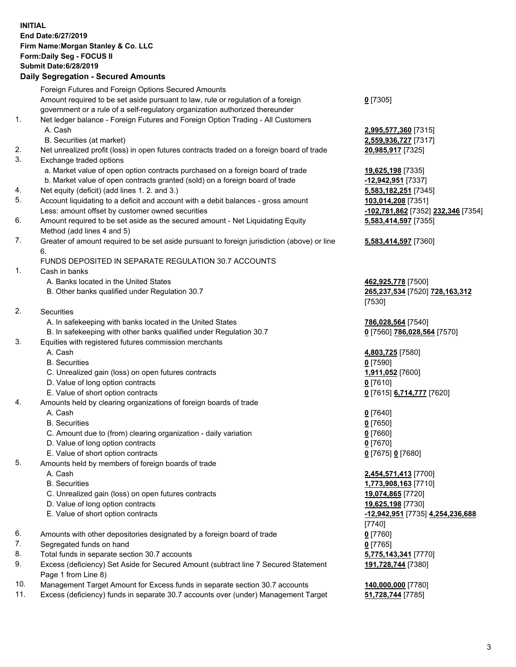## **INITIAL End Date:6/27/2019 Firm Name:Morgan Stanley & Co. LLC Form:Daily Seg - FOCUS II Submit Date:6/28/2019 Daily Segregation - Secured Amounts**

Foreign Futures and Foreign Options Secured Amounts Amount required to be set aside pursuant to law, rule or regulation of a foreign government or a rule of a self-regulatory organization authorized thereunder **0** [7305] 1. Net ledger balance - Foreign Futures and Foreign Option Trading - All Customers A. Cash **2,995,577,360** [7315] B. Securities (at market) **2,559,936,727** [7317] 2. Net unrealized profit (loss) in open futures contracts traded on a foreign board of trade **20,985,917** [7325] 3. Exchange traded options a. Market value of open option contracts purchased on a foreign board of trade **19,625,198** [7335] b. Market value of open contracts granted (sold) on a foreign board of trade **-12,942,951** [7337] 4. Net equity (deficit) (add lines 1. 2. and 3.) **5,583,182,251** [7345] 5. Account liquidating to a deficit and account with a debit balances - gross amount **103,014,208** [7351] Less: amount offset by customer owned securities **-102,781,862** [7352] **232,346** [7354] 6. Amount required to be set aside as the secured amount - Net Liquidating Equity Method (add lines 4 and 5) **5,583,414,597** [7355] 7. Greater of amount required to be set aside pursuant to foreign jurisdiction (above) or line 6. **5,583,414,597** [7360] FUNDS DEPOSITED IN SEPARATE REGULATION 30.7 ACCOUNTS 1. Cash in banks A. Banks located in the United States **462,925,778** [7500] B. Other banks qualified under Regulation 30.7 **265,237,534** [7520] **728,163,312** [7530] 2. Securities A. In safekeeping with banks located in the United States **786,028,564** [7540] B. In safekeeping with other banks qualified under Regulation 30.7 **0** [7560] **786,028,564** [7570] 3. Equities with registered futures commission merchants A. Cash **4,803,725** [7580] B. Securities **0** [7590] C. Unrealized gain (loss) on open futures contracts **1,911,052** [7600] D. Value of long option contracts **0** [7610] E. Value of short option contracts **0** [7615] **6,714,777** [7620] 4. Amounts held by clearing organizations of foreign boards of trade A. Cash **0** [7640] B. Securities **0** [7650] C. Amount due to (from) clearing organization - daily variation **0** [7660] D. Value of long option contracts **0** [7670] E. Value of short option contracts **0** [7675] **0** [7680] 5. Amounts held by members of foreign boards of trade A. Cash **2,454,571,413** [7700] B. Securities **1,773,908,163** [7710] C. Unrealized gain (loss) on open futures contracts **19,074,865** [7720] D. Value of long option contracts **19,625,198** [7730] E. Value of short option contracts **-12,942,951** [7735] **4,254,236,688** [7740] 6. Amounts with other depositories designated by a foreign board of trade **0** [7760]

- 7. Segregated funds on hand **0** [7765]
- 8. Total funds in separate section 30.7 accounts **5,775,143,341** [7770]
- 9. Excess (deficiency) Set Aside for Secured Amount (subtract line 7 Secured Statement Page 1 from Line 8)
- 10. Management Target Amount for Excess funds in separate section 30.7 accounts **140,000,000** [7780]
- 11. Excess (deficiency) funds in separate 30.7 accounts over (under) Management Target **51,728,744** [7785]

**191,728,744** [7380]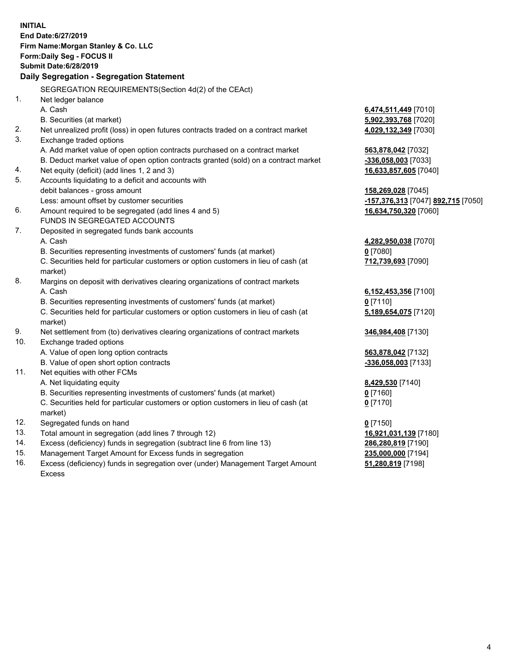**INITIAL End Date:6/27/2019 Firm Name:Morgan Stanley & Co. LLC Form:Daily Seg - FOCUS II Submit Date:6/28/2019 Daily Segregation - Segregation Statement** SEGREGATION REQUIREMENTS(Section 4d(2) of the CEAct) 1. Net ledger balance A. Cash **6,474,511,449** [7010] B. Securities (at market) **5,902,393,768** [7020] 2. Net unrealized profit (loss) in open futures contracts traded on a contract market **4,029,132,349** [7030] 3. Exchange traded options A. Add market value of open option contracts purchased on a contract market **563,878,042** [7032] B. Deduct market value of open option contracts granted (sold) on a contract market **-336,058,003** [7033] 4. Net equity (deficit) (add lines 1, 2 and 3) **16,633,857,605** [7040] 5. Accounts liquidating to a deficit and accounts with debit balances - gross amount **158,269,028** [7045] Less: amount offset by customer securities **-157,376,313** [7047] **892,715** [7050] 6. Amount required to be segregated (add lines 4 and 5) **16,634,750,320** [7060] FUNDS IN SEGREGATED ACCOUNTS 7. Deposited in segregated funds bank accounts A. Cash **4,282,950,038** [7070] B. Securities representing investments of customers' funds (at market) **0** [7080] C. Securities held for particular customers or option customers in lieu of cash (at market) **712,739,693** [7090] 8. Margins on deposit with derivatives clearing organizations of contract markets A. Cash **6,152,453,356** [7100] B. Securities representing investments of customers' funds (at market) **0** [7110] C. Securities held for particular customers or option customers in lieu of cash (at market) **5,189,654,075** [7120] 9. Net settlement from (to) derivatives clearing organizations of contract markets **346,984,408** [7130] 10. Exchange traded options A. Value of open long option contracts **563,878,042** [7132] B. Value of open short option contracts **-336,058,003** [7133] 11. Net equities with other FCMs A. Net liquidating equity **8,429,530** [7140] B. Securities representing investments of customers' funds (at market) **0** [7160] C. Securities held for particular customers or option customers in lieu of cash (at market) **0** [7170] 12. Segregated funds on hand **0** [7150] 13. Total amount in segregation (add lines 7 through 12) **16,921,031,139** [7180] 14. Excess (deficiency) funds in segregation (subtract line 6 from line 13) **286,280,819** [7190] 15. Management Target Amount for Excess funds in segregation **235,000,000** [7194]

16. Excess (deficiency) funds in segregation over (under) Management Target Amount Excess

**51,280,819** [7198]